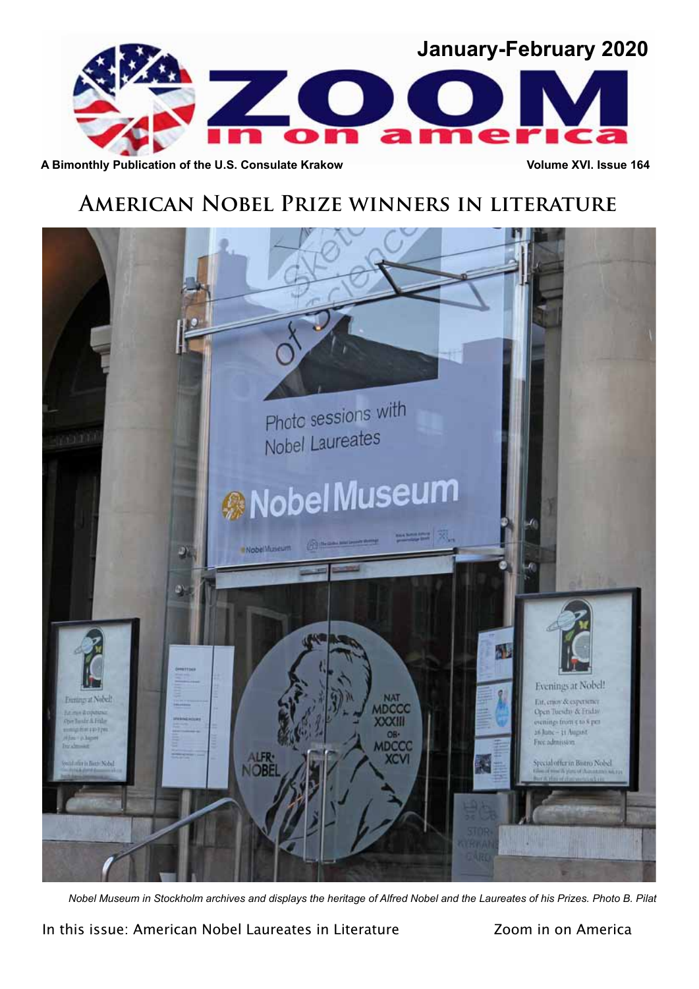

A Bimonthly Publication of the U.S. Consulate Krakow **Volume XVI.** Issue 164

# **American Nobel Prize winners in literature**



*Nobel Museum in Stockholm archives and displays the heritage of Alfred Nobel and the Laureates of his Prizes. Photo B. Pilat*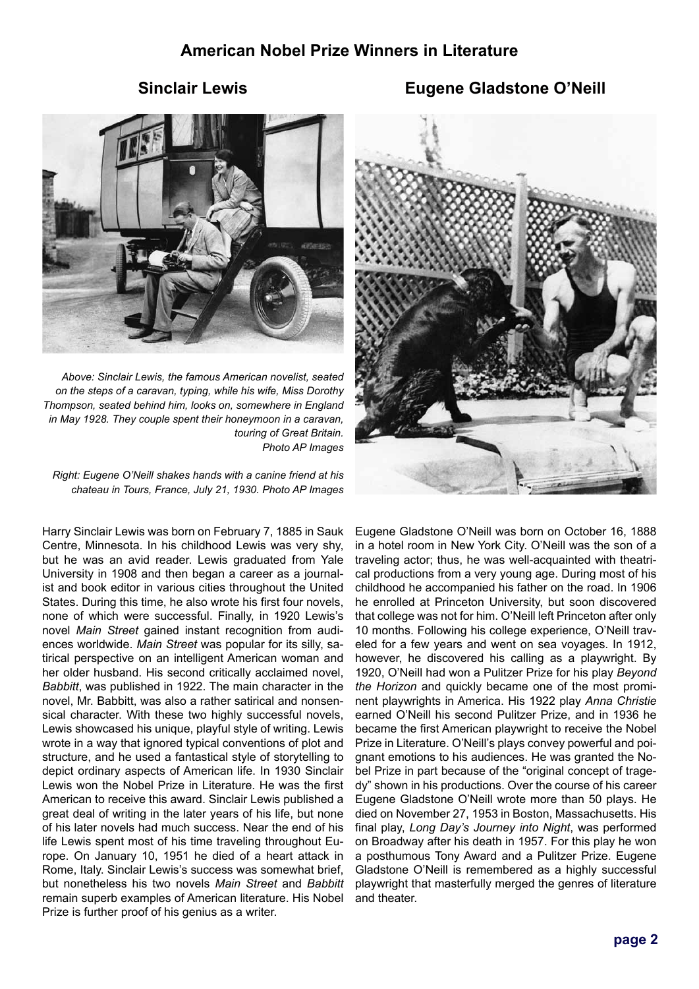# **American Nobel Prize Winners in Literature**



*on the steps of a caravan, typing, while his wife, Miss Dorothy Thompson, seated behind him, looks on, somewhere in England in May 1928. They couple spent their honeymoon in a caravan, touring of Great Britain. Photo AP Images*

*Right: Eugene O'Neill shakes hands with a canine friend at his chateau in Tours, France, July 21, 1930. Photo AP Images*

Harry Sinclair Lewis was born on February 7, 1885 in Sauk Centre, Minnesota. In his childhood Lewis was very shy, but he was an avid reader. Lewis graduated from Yale University in 1908 and then began a career as a journalist and book editor in various cities throughout the United States. During this time, he also wrote his first four novels, none of which were successful. Finally, in 1920 Lewis's novel *Main Street* gained instant recognition from audiences worldwide. *Main Street* was popular for its silly, satirical perspective on an intelligent American woman and her older husband. His second critically acclaimed novel, *Babbitt*, was published in 1922. The main character in the novel, Mr. Babbitt, was also a rather satirical and nonsensical character. With these two highly successful novels, Lewis showcased his unique, playful style of writing. Lewis wrote in a way that ignored typical conventions of plot and structure, and he used a fantastical style of storytelling to depict ordinary aspects of American life. In 1930 Sinclair Lewis won the Nobel Prize in Literature. He was the first American to receive this award. Sinclair Lewis published a great deal of writing in the later years of his life, but none of his later novels had much success. Near the end of his life Lewis spent most of his time traveling throughout Europe. On January 10, 1951 he died of a heart attack in Rome, Italy. Sinclair Lewis's success was somewhat brief, but nonetheless his two novels *Main Street* and *Babbitt* remain superb examples of American literature. His Nobel Prize is further proof of his genius as a writer.



Eugene Gladstone O'Neill was born on October 16, 1888 in a hotel room in New York City. O'Neill was the son of a traveling actor; thus, he was well-acquainted with theatrical productions from a very young age. During most of his childhood he accompanied his father on the road. In 1906 he enrolled at Princeton University, but soon discovered that college was not for him. O'Neill left Princeton after only 10 months. Following his college experience, O'Neill traveled for a few years and went on sea voyages. In 1912, however, he discovered his calling as a playwright. By 1920, O'Neill had won a Pulitzer Prize for his play *Beyond the Horizon* and quickly became one of the most prominent playwrights in America. His 1922 play *Anna Christie* earned O'Neill his second Pulitzer Prize, and in 1936 he became the first American playwright to receive the Nobel Prize in Literature. O'Neill's plays convey powerful and poignant emotions to his audiences. He was granted the Nobel Prize in part because of the "original concept of tragedy" shown in his productions. Over the course of his career Eugene Gladstone O'Neill wrote more than 50 plays. He died on November 27, 1953 in Boston, Massachusetts. His final play, *Long Day's Journey into Night*, was performed on Broadway after his death in 1957. For this play he won a posthumous Tony Award and a Pulitzer Prize. Eugene Gladstone O'Neill is remembered as a highly successful playwright that masterfully merged the genres of literature and theater.

# **Sinclair Lewis Eugene Gladstone O'Neill**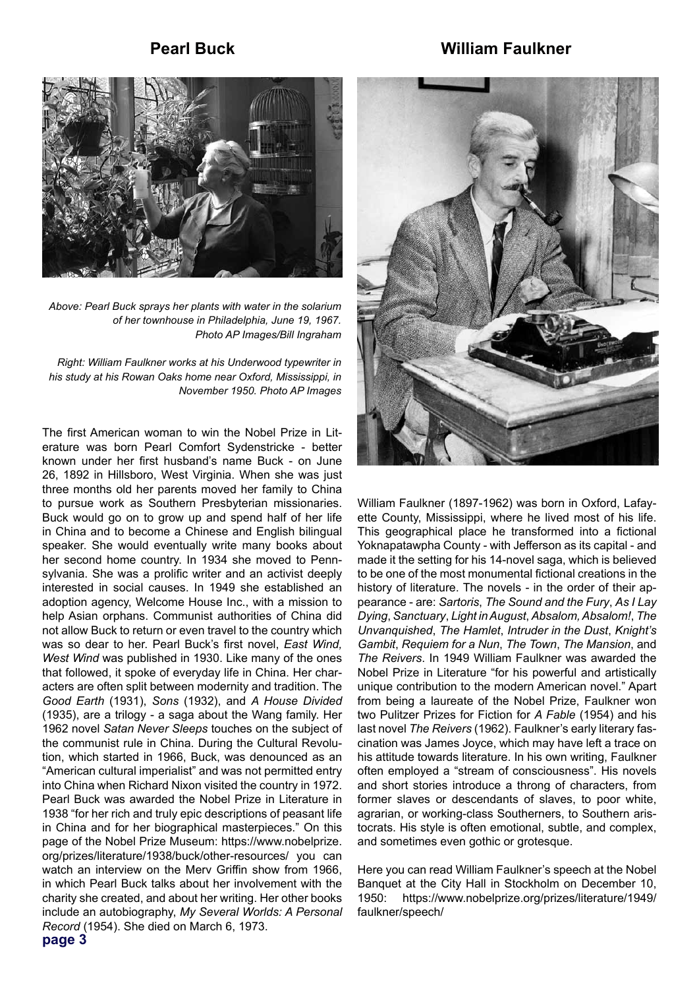#### **Pearl Buck**

#### **William Faulkner**



*Above: Pearl Buck sprays her plants with water in the solarium of her townhouse in Philadelphia, June 19, 1967. Photo AP Images/Bill Ingraham*

*Right: William Faulkner works at his Underwood typewriter in his study at his Rowan Oaks home near Oxford, Mississippi, in November 1950. Photo AP Images*

The first American woman to win the Nobel Prize in Literature was born Pearl Comfort Sydenstricke - better known under her first husband's name Buck - on June 26, 1892 in Hillsboro, West Virginia. When she was just three months old her parents moved her family to China to pursue work as Southern Presbyterian missionaries. Buck would go on to grow up and spend half of her life in China and to become a Chinese and English bilingual speaker. She would eventually write many books about her second home country. In 1934 she moved to Pennsylvania. She was a prolific writer and an activist deeply interested in social causes. In 1949 she established an adoption agency, Welcome House Inc., with a mission to help Asian orphans. Communist authorities of China did not allow Buck to return or even travel to the country which was so dear to her. Pearl Buck's first novel, *East Wind, West Wind* was published in 1930. Like many of the ones that followed, it spoke of everyday life in China. Her characters are often split between modernity and tradition. The *Good Earth* (1931), *Sons* (1932), and *A House Divided* (1935), are a trilogy - a saga about the Wang family. Her 1962 novel *Satan Never Sleeps* touches on the subject of the communist rule in China. During the Cultural Revolution, which started in 1966, Buck, was denounced as an "American cultural imperialist" and was not permitted entry into China when Richard Nixon visited the country in 1972. Pearl Buck was awarded the Nobel Prize in Literature in 1938 "for her rich and truly epic descriptions of peasant life in China and for her biographical masterpieces." On this page of the Nobel Prize Museum: https://www.nobelprize. org/prizes/literature/1938/buck/other-resources/ you can watch an interview on the Merv Griffin show from 1966, in which Pearl Buck talks about her involvement with the charity she created, and about her writing. Her other books include an autobiography, *My Several Worlds: A Personal Record* (1954). She died on March 6, 1973.



William Faulkner (1897-1962) was born in Oxford, Lafayette County, Mississippi, where he lived most of his life. This geographical place he transformed into a fictional Yoknapatawpha County - with Jefferson as its capital - and made it the setting for his 14-novel saga, which is believed to be one of the most monumental fictional creations in the history of literature. The novels - in the order of their appearance - are: *Sartoris*, *The Sound and the Fury*, *As I Lay Dying*, *Sanctuary*, *Light in August*, *Absalom, Absalom!*, *The Unvanquished*, *The Hamlet*, *Intruder in the Dust*, *Knight's Gambit*, *Requiem for a Nun*, *The Town*, *The Mansion*, and *The Reivers*. In 1949 William Faulkner was awarded the Nobel Prize in Literature "for his powerful and artistically unique contribution to the modern American novel." Apart from being a laureate of the Nobel Prize, Faulkner won two Pulitzer Prizes for Fiction for *A Fable* (1954) and his last novel *The Reivers* (1962). Faulkner's early literary fascination was James Joyce, which may have left a trace on his attitude towards literature. In his own writing, Faulkner often employed a "stream of consciousness". His novels and short stories introduce a throng of characters, from former slaves or descendants of slaves, to poor white, agrarian, or working-class Southerners, to Southern aristocrats. His style is often emotional, subtle, and complex, and sometimes even gothic or grotesque.

Here you can read William Faulkner's speech at the Nobel Banquet at the City Hall in Stockholm on December 10, 1950: https://www.nobelprize.org/prizes/literature/1949/ faulkner/speech/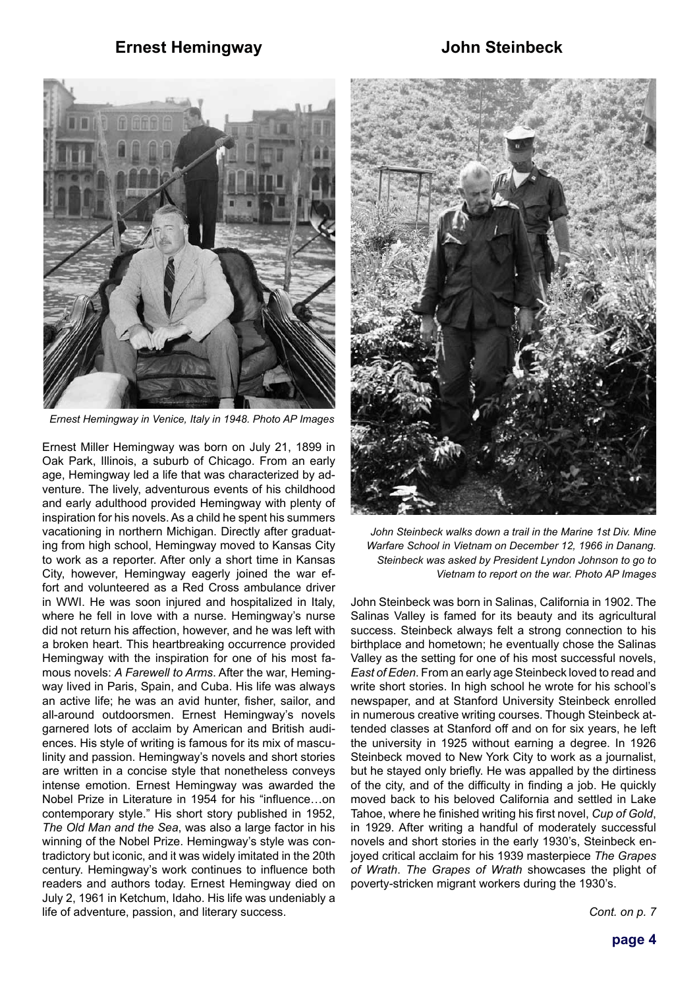#### **Ernest Hemingway**

#### **John Steinbeck**



*Ernest Hemingway in Venice, Italy in 1948. Photo AP Images*

Ernest Miller Hemingway was born on July 21, 1899 in Oak Park, Illinois, a suburb of Chicago. From an early age, Hemingway led a life that was characterized by adventure. The lively, adventurous events of his childhood and early adulthood provided Hemingway with plenty of inspiration for his novels. As a child he spent his summers vacationing in northern Michigan. Directly after graduating from high school, Hemingway moved to Kansas City to work as a reporter. After only a short time in Kansas City, however, Hemingway eagerly joined the war effort and volunteered as a Red Cross ambulance driver in WWI. He was soon injured and hospitalized in Italy, where he fell in love with a nurse. Hemingway's nurse did not return his affection, however, and he was left with a broken heart. This heartbreaking occurrence provided Hemingway with the inspiration for one of his most famous novels: *A Farewell to Arms*. After the war, Hemingway lived in Paris, Spain, and Cuba. His life was always an active life; he was an avid hunter, fisher, sailor, and all-around outdoorsmen. Ernest Hemingway's novels garnered lots of acclaim by American and British audiences. His style of writing is famous for its mix of masculinity and passion. Hemingway's novels and short stories are written in a concise style that nonetheless conveys intense emotion. Ernest Hemingway was awarded the Nobel Prize in Literature in 1954 for his "influence…on contemporary style." His short story published in 1952, *The Old Man and the Sea*, was also a large factor in his winning of the Nobel Prize. Hemingway's style was contradictory but iconic, and it was widely imitated in the 20th century. Hemingway's work continues to influence both readers and authors today. Ernest Hemingway died on July 2, 1961 in Ketchum, Idaho. His life was undeniably a life of adventure, passion, and literary success.



*John Steinbeck walks down a trail in the Marine 1st Div. Mine Warfare School in Vietnam on December 12, 1966 in Danang. Steinbeck was asked by President Lyndon Johnson to go to Vietnam to report on the war. Photo AP Images*

John Steinbeck was born in Salinas, California in 1902. The Salinas Valley is famed for its beauty and its agricultural success. Steinbeck always felt a strong connection to his birthplace and hometown; he eventually chose the Salinas Valley as the setting for one of his most successful novels, *East of Eden*. From an early age Steinbeck loved to read and write short stories. In high school he wrote for his school's newspaper, and at Stanford University Steinbeck enrolled in numerous creative writing courses. Though Steinbeck attended classes at Stanford off and on for six years, he left the university in 1925 without earning a degree. In 1926 Steinbeck moved to New York City to work as a journalist, but he stayed only briefly. He was appalled by the dirtiness of the city, and of the difficulty in finding a job. He quickly moved back to his beloved California and settled in Lake Tahoe, where he finished writing his first novel, *Cup of Gold*, in 1929. After writing a handful of moderately successful novels and short stories in the early 1930's, Steinbeck enjoyed critical acclaim for his 1939 masterpiece *The Grapes of Wrath*. *The Grapes of Wrath* showcases the plight of poverty-stricken migrant workers during the 1930's.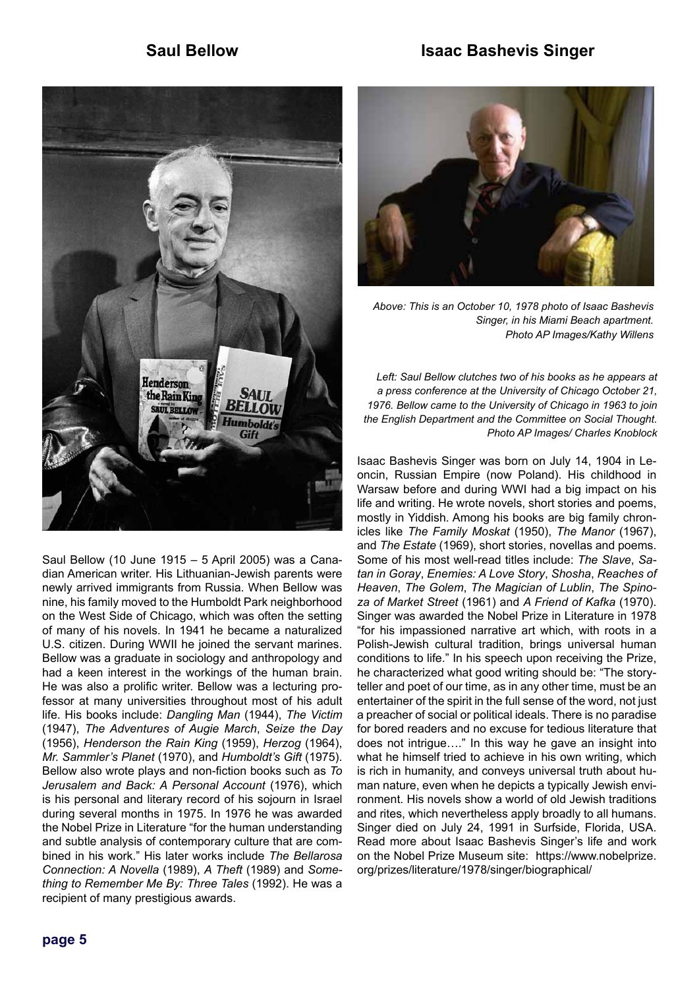



Saul Bellow (10 June 1915 – 5 April 2005) was a Canadian American writer. His Lithuanian-Jewish parents were newly arrived immigrants from Russia. When Bellow was nine, his family moved to the Humboldt Park neighborhood on the West Side of Chicago, which was often the setting of many of his novels. In 1941 he became a naturalized U.S. citizen. During WWII he joined the servant marines. Bellow was a graduate in sociology and anthropology and had a keen interest in the workings of the human brain. He was also a prolific writer. Bellow was a lecturing professor at many universities throughout most of his adult life. His books include: *Dangling Man* (1944), *The Victim* (1947), *The Adventures of Augie March*, *Seize the Day* (1956), *Henderson the Rain King* (1959), *Herzog* (1964), *Mr. Sammler's Planet* (1970), and *Humboldt's Gift* (1975). Bellow also wrote plays and non-fiction books such as *To Jerusalem and Back: A Personal Account* (1976), which is his personal and literary record of his sojourn in Israel during several months in 1975. In 1976 he was awarded the Nobel Prize in Literature "for the human understanding and subtle analysis of contemporary culture that are combined in his work." His later works include *The Bellarosa Connection: A Novella* (1989), *A Theft* (1989) and *Something to Remember Me By: Three Tales* (1992). He was a recipient of many prestigious awards.



*Above: This is an October 10, 1978 photo of Isaac Bashevis Singer, in his Miami Beach apartment. Photo AP Images/Kathy Willens*

*Left: Saul Bellow clutches two of his books as he appears at a press conference at the University of Chicago October 21, 1976. Bellow came to the University of Chicago in 1963 to join the English Department and the Committee on Social Thought. Photo AP Images/ Charles Knoblock*

Isaac Bashevis Singer was born on July 14, 1904 in Leoncin, Russian Empire (now Poland). His childhood in Warsaw before and during WWI had a big impact on his life and writing. He wrote novels, short stories and poems, mostly in Yiddish. Among his books are big family chronicles like *The Family Moskat* (1950), *The Manor* (1967), and *The Estate* (1969), short stories, novellas and poems. Some of his most well-read titles include: *The Slave*, *Satan in Goray*, *Enemies: A Love Story*, *Shosha*, *Reaches of Heaven*, *The Golem*, *The Magician of Lublin*, *The Spinoza of Market Street* (1961) and *A Friend of Kafka* (1970). Singer was awarded the Nobel Prize in Literature in 1978 "for his impassioned narrative art which, with roots in a Polish-Jewish cultural tradition, brings universal human conditions to life." In his speech upon receiving the Prize, he characterized what good writing should be: "The storyteller and poet of our time, as in any other time, must be an entertainer of the spirit in the full sense of the word, not just a preacher of social or political ideals. There is no paradise for bored readers and no excuse for tedious literature that does not intrigue…." In this way he gave an insight into what he himself tried to achieve in his own writing, which is rich in humanity, and conveys universal truth about human nature, even when he depicts a typically Jewish environment. His novels show a world of old Jewish traditions and rites, which nevertheless apply broadly to all humans. Singer died on July 24, 1991 in Surfside, Florida, USA. Read more about Isaac Bashevis Singer's life and work on the Nobel Prize Museum site: https://www.nobelprize. org/prizes/literature/1978/singer/biographical/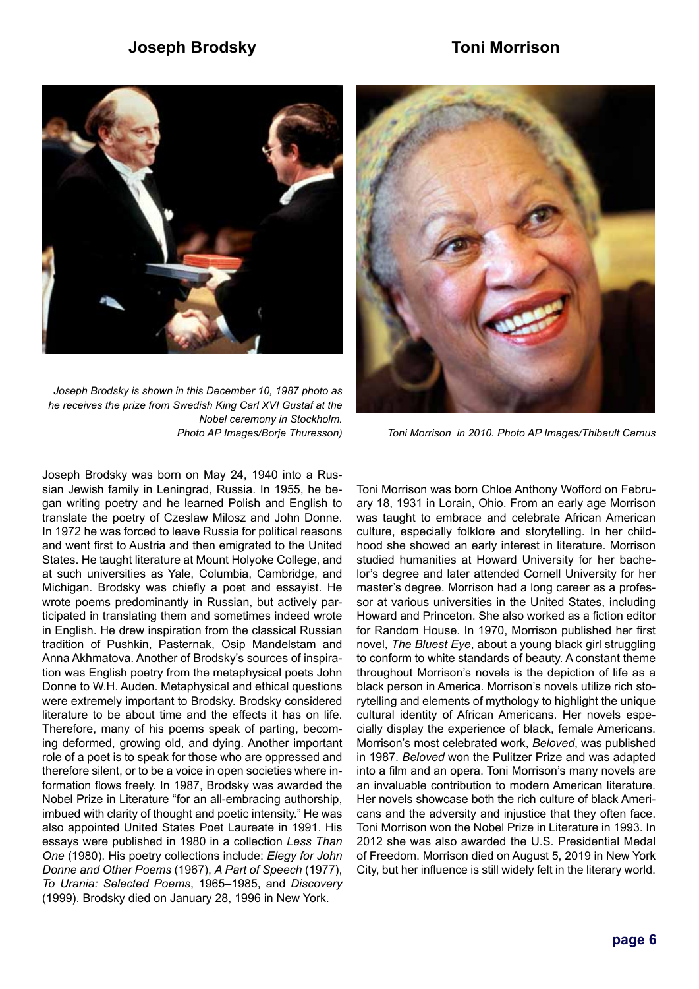### **Joseph Brodsky Toni Morrison**



*Joseph Brodsky is shown in this December 10, 1987 photo as he receives the prize from Swedish King Carl XVI Gustaf at the Nobel ceremony in Stockholm. Photo AP Images/Borje Thuresson)*



*Toni Morrison in 2010. Photo AP Images/Thibault Camus*

Joseph Brodsky was born on May 24, 1940 into a Russian Jewish family in Leningrad, Russia. In 1955, he began writing poetry and he learned Polish and English to translate the poetry of Czeslaw Milosz and John Donne. In 1972 he was forced to leave Russia for political reasons and went first to Austria and then emigrated to the United States. He taught literature at Mount Holyoke College, and at such universities as Yale, Columbia, Cambridge, and Michigan. Brodsky was chiefly a poet and essayist. He wrote poems predominantly in Russian, but actively participated in translating them and sometimes indeed wrote in English. He drew inspiration from the classical Russian tradition of Pushkin, Pasternak, Osip Mandelstam and Anna Akhmatova. Another of Brodsky's sources of inspiration was English poetry from the metaphysical poets John Donne to W.H. Auden. Metaphysical and ethical questions were extremely important to Brodsky. Brodsky considered literature to be about time and the effects it has on life. Therefore, many of his poems speak of parting, becoming deformed, growing old, and dying. Another important role of a poet is to speak for those who are oppressed and therefore silent, or to be a voice in open societies where information flows freely. In 1987, Brodsky was awarded the Nobel Prize in Literature "for an all-embracing authorship, imbued with clarity of thought and poetic intensity." He was also appointed United States Poet Laureate in 1991. His essays were published in 1980 in a collection *Less Than One* (1980). His poetry collections include: *Elegy for John Donne and Other Poems* (1967), *A Part of Speech* (1977), *To Urania: Selected Poems*, 1965–1985, and *Discovery* (1999). Brodsky died on January 28, 1996 in New York.

Toni Morrison was born Chloe Anthony Wofford on February 18, 1931 in Lorain, Ohio. From an early age Morrison was taught to embrace and celebrate African American culture, especially folklore and storytelling. In her childhood she showed an early interest in literature. Morrison studied humanities at Howard University for her bachelor's degree and later attended Cornell University for her master's degree. Morrison had a long career as a professor at various universities in the United States, including Howard and Princeton. She also worked as a fiction editor for Random House. In 1970, Morrison published her first novel, *The Bluest Eye*, about a young black girl struggling to conform to white standards of beauty. A constant theme throughout Morrison's novels is the depiction of life as a black person in America. Morrison's novels utilize rich storytelling and elements of mythology to highlight the unique cultural identity of African Americans. Her novels especially display the experience of black, female Americans. Morrison's most celebrated work, *Beloved*, was published in 1987. *Beloved* won the Pulitzer Prize and was adapted into a film and an opera. Toni Morrison's many novels are an invaluable contribution to modern American literature. Her novels showcase both the rich culture of black Americans and the adversity and injustice that they often face. Toni Morrison won the Nobel Prize in Literature in 1993. In 2012 she was also awarded the U.S. Presidential Medal of Freedom. Morrison died on August 5, 2019 in New York City, but her influence is still widely felt in the literary world.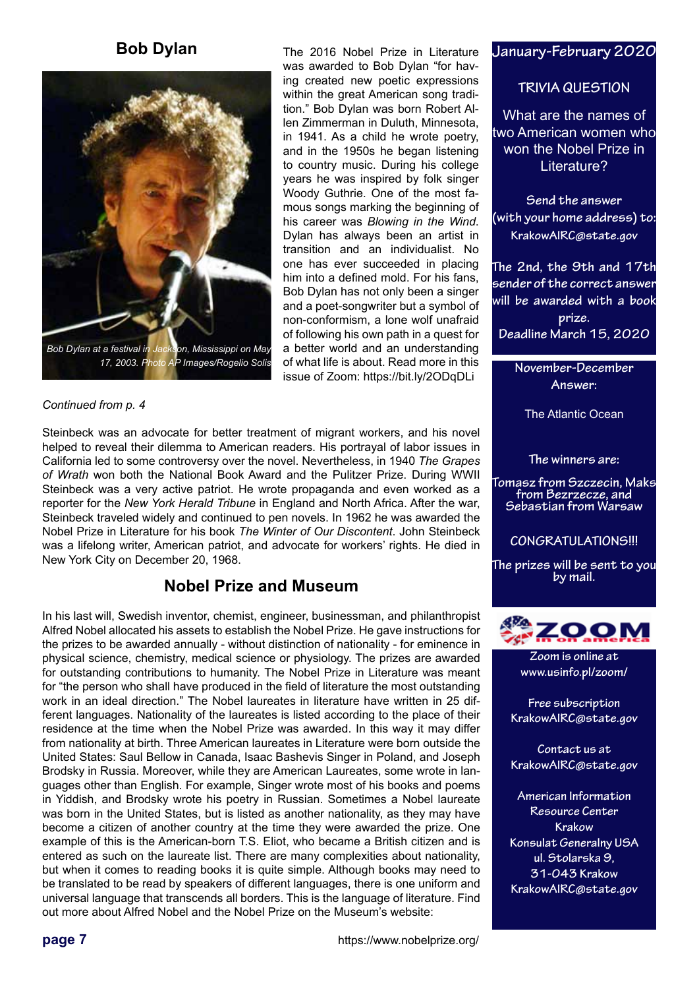## **Bob Dylan**



#### *Continued from p. 4*

Steinbeck was an advocate for better treatment of migrant workers, and his novel helped to reveal their dilemma to American readers. His portrayal of labor issues in California led to some controversy over the novel. Nevertheless, in 1940 *The Grapes of Wrath* won both the National Book Award and the Pulitzer Prize. During WWII Steinbeck was a very active patriot. He wrote propaganda and even worked as a reporter for the *New York Herald Tribune* in England and North Africa. After the war, Steinbeck traveled widely and continued to pen novels. In 1962 he was awarded the Nobel Prize in Literature for his book *The Winter of Our Discontent*. John Steinbeck was a lifelong writer, American patriot, and advocate for workers' rights. He died in New York City on December 20, 1968.

### **Nobel Prize and Museum**

In his last will, Swedish inventor, chemist, engineer, businessman, and philanthropist Alfred Nobel allocated his assets to establish the Nobel Prize. He gave instructions for the prizes to be awarded annually - without distinction of nationality - for eminence in physical science, chemistry, medical science or physiology. The prizes are awarded for outstanding contributions to humanity. The Nobel Prize in Literature was meant for "the person who shall have produced in the field of literature the most outstanding work in an ideal direction." The Nobel laureates in literature have written in 25 different languages. Nationality of the laureates is listed according to the place of their residence at the time when the Nobel Prize was awarded. In this way it may differ from nationality at birth. Three American laureates in Literature were born outside the United States: Saul Bellow in Canada, Isaac Bashevis Singer in Poland, and Joseph Brodsky in Russia. Moreover, while they are American Laureates, some wrote in languages other than English. For example, Singer wrote most of his books and poems in Yiddish, and Brodsky wrote his poetry in Russian. Sometimes a Nobel laureate was born in the United States, but is listed as another nationality, as they may have become a citizen of another country at the time they were awarded the prize. One example of this is the American-born T.S. Eliot, who became a British citizen and is entered as such on the laureate list. There are many complexities about nationality, but when it comes to reading books it is quite simple. Although books may need to be translated to be read by speakers of different languages, there is one uniform and universal language that transcends all borders. This is the language of literature. Find out more about Alfred Nobel and the Nobel Prize on the Museum's website:

```
of what life is about. Read more in this
```
The 2016 Nobel Prize in Literature

**January-February 2020** 

#### **TRIVIA QUESTION**

What are the names of two American women who won the Nobel Prize in Literature?

**Send the answer (with your home address) to: KrakowAIRC@state.gov**

**The 2nd, the 9th and 17th sender of the correct answer will be awarded with a book prize. Deadline March 15, 2020**

> **November-December Answer:**

The Atlantic Ocean

**The winners are:**

**Tomasz from Szczecin, Maks from Bezrzecze, and Sebastian from Warsaw**

**CONGRATULATIONS!!!**

**The prizes will be sent to you by mail.**



**Zoom is online at www.usinfo.pl/zoom/**

**Free subscription KrakowAIRC@state.gov**

**Contact us at KrakowAIRC@state.gov**

**American Information Resource Center Krakow Konsulat Generalny USA ul. Stolarska 9, 31-043 Krakow KrakowAIRC@state.gov**

**page 7**

https://www.nobelprize.org/